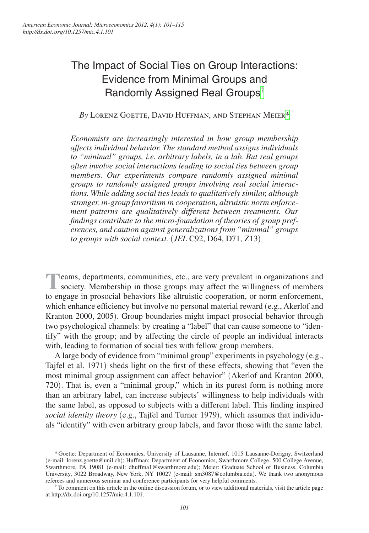# The Impact of Social Ties on Group Interactions: Evidence from Minimal Groups and Randomly Assigned Real Groups[†](#page-0-0)

# *By* Lorenz Goette, David Huffman, and Stephan Meier[\\*](#page-0-1)

*Economists are increasingly interested in how group membership affects individual behavior. The standard method assigns individuals to "minimal" groups, i.e. arbitrary labels, in a lab. But real groups often involve social interactions leading to social ties between group members. Our experiments compare randomly assigned minimal groups to randomly assigned groups involving real social interactions. While adding social ties leads to qualitatively similar, although stronger, in-group favoritism in cooperation, altruistic norm enforcement patterns are qualitatively different between treatments. Our findings contribute to the micro-foundation of theories of group preferences, and caution against generalizations from "minimal" groups to groups with social context.* (*JEL* C92, D64, D71, Z13)

**T**eams, departments, communities, etc., are very prevalent in organizations and society. Membership in those groups may affect the willingness of members to engage in prosocial behaviors like altruistic cooperation, or norm enforcement, which enhance efficiency but involve no personal material reward (e.g., Akerlof and Kranton 2000, 2005). Group boundaries might impact prosocial behavior through two psychological channels: by creating a "label" that can cause someone to "identify" with the group; and by affecting the circle of people an individual interacts with, leading to formation of social ties with fellow group members.

A large body of evidence from "minimal group" experiments in psychology (e.g., Tajfel et al. 1971) sheds light on the first of these effects, showing that "even the most minimal group assignment can affect behavior" (Akerlof and Kranton 2000, 720). That is, even a "minimal group," which in its purest form is nothing more than an arbitrary label, can increase subjects' willingness to help individuals with the same label, as opposed to subjects with a different label. This finding inspired *social identity theory* (e.g., Tajfel and Turner 1979), which assumes that individuals "identify" with even arbitrary group labels, and favor those with the same label.

<span id="page-0-1"></span><sup>\*</sup>Goette: Department of Economics, University of Lausanne, Internef, 1015 Lausanne-Dorigny, Switzerland (e-mail: lorenz.goette@unil.ch); Huffman: Department of Economics, Swarthmore College, 500 College Avenue, Swarthmore, PA 19081 (e-mail: dhuffma1@swarthmore.edu); Meier: Graduate School of Business, Columbia University, 3022 Broadway, New York, NY 10027 (e-mail: sm3087@columbia.edu). We thank two anonymous referees and numerous seminar and conference participants for very helpful comments.

<span id="page-0-0"></span> $\frac{f}{f}$  To comment on this article in the online discussion forum, or to view additional materials, visit the article page at <http://dx.doi.org/10.1257/mic.4.1.101>.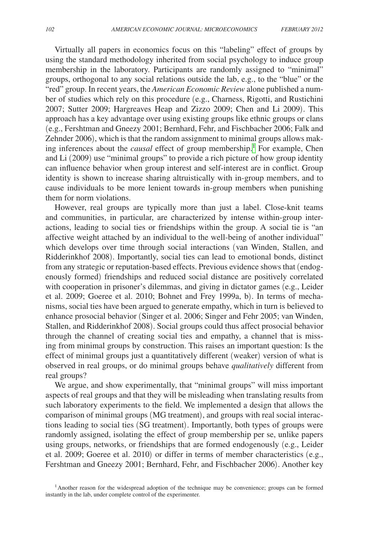Virtually all papers in economics focus on this "labeling" effect of groups by using the standard methodology inherited from social psychology to induce group membership in the laboratory. Participants are randomly assigned to "minimal" groups, orthogonal to any social relations outside the lab, e.g., to the "blue" or the "red" group. In recent years, the *American Economic Review* alone published a number of studies which rely on this procedure (e.g., Charness, Rigotti, and Rustichini 2007; Sutter 2009; Hargreaves Heap and Zizzo 2009; Chen and Li 2009). This approach has a key advantage over using existing groups like ethnic groups or clans (e.g., Fershtman and Gneezy 2001; Bernhard, Fehr, and Fischbacher 2006; Falk and Zehnder 2006), which is that the random assignment to minimal groups allows making inferences about the *causal* effect of group membership[.1](#page-1-0) For example, Chen and Li (2009) use "minimal groups" to provide a rich picture of how group identity can influence behavior when group interest and self-interest are in conflict. Group identity is shown to increase sharing altruistically with in-group members, and to cause individuals to be more lenient towards in-group members when punishing them for norm violations.

However, real groups are typically more than just a label. Close-knit teams and communities, in particular, are characterized by intense within-group interactions, leading to social ties or friendships within the group. A social tie is "an affective weight attached by an individual to the well-being of another individual" which develops over time through social interactions (van Winden, Stallen, and Ridderinkhof 2008). Importantly, social ties can lead to emotional bonds, distinct from any strategic or reputation-based effects. Previous evidence shows that (endogenously formed) friendships and reduced social distance are positively correlated with cooperation in prisoner's dilemmas, and giving in dictator games (e.g., Leider et al. 2009; Goeree et al. 2010; Bohnet and Frey 1999a, b). In terms of mechanisms, social ties have been argued to generate empathy, which in turn is believed to enhance prosocial behavior (Singer et al. 2006; Singer and Fehr 2005; van Winden, Stallen, and Ridderinkhof 2008). Social groups could thus affect prosocial behavior through the channel of creating social ties and empathy, a channel that is missing from minimal groups by construction. This raises an important question: Is the effect of minimal groups just a quantitatively different (weaker) version of what is observed in real groups, or do minimal groups behave *qualitatively* different from real groups?

We argue, and show experimentally, that "minimal groups" will miss important aspects of real groups and that they will be misleading when translating results from such laboratory experiments to the field. We implemented a design that allows the comparison of minimal groups (MG treatment), and groups with real social interactions leading to social ties (SG treatment). Importantly, both types of groups were randomly assigned, isolating the effect of group membership per se, unlike papers using groups, networks, or friendships that are formed endogenously (e.g., Leider et al. 2009; Goeree et al. 2010) or differ in terms of member characteristics (e.g., Fershtman and Gneezy 2001; Bernhard, Fehr, and Fischbacher 2006). Another key

<span id="page-1-0"></span><sup>&</sup>lt;sup>1</sup>Another reason for the widespread adoption of the technique may be convenience; groups can be formed instantly in the lab, under complete control of the experimenter.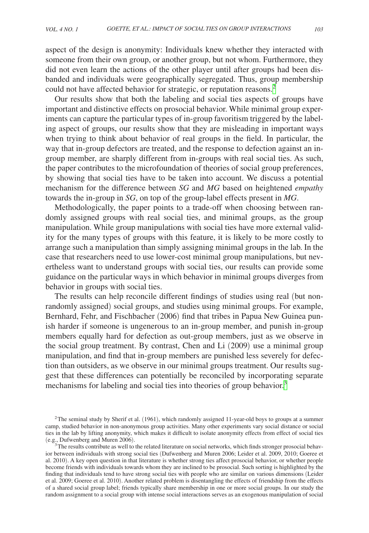aspect of the design is anonymity: Individuals knew whether they interacted with someone from their own group, or another group, but not whom. Furthermore, they did not even learn the actions of the other player until after groups had been disbanded and individuals were geographically segregated. Thus, group membership could not have affected behavior for strategic, or reputation reasons.<sup>2</sup>

Our results show that both the labeling and social ties aspects of groups have important and distinctive effects on prosocial behavior. While minimal group experiments can capture the particular types of in-group favoritism triggered by the labeling aspect of groups, our results show that they are misleading in important ways when trying to think about behavior of real groups in the field. In particular, the way that in-group defectors are treated, and the response to defection against an ingroup member, are sharply different from in-groups with real social ties. As such, the paper contributes to the microfoundation of theories of social group preferences, by showing that social ties have to be taken into account. We discuss a potential mechanism for the difference between *SG* and *MG* based on heightened *empathy* towards the in-group in *SG*, on top of the group-label effects present in *MG*.

Methodologically, the paper points to a trade-off when choosing between randomly assigned groups with real social ties, and minimal groups, as the group manipulation. While group manipulations with social ties have more external validity for the many types of groups with this feature, it is likely to be more costly to arrange such a manipulation than simply assigning minimal groups in the lab. In the case that researchers need to use lower-cost minimal group manipulations, but nevertheless want to understand groups with social ties, our results can provide some guidance on the particular ways in which behavior in minimal groups diverges from behavior in groups with social ties.

The results can help reconcile different findings of studies using real (but nonrandomly assigned) social groups, and studies using minimal groups. For example, Bernhard, Fehr, and Fischbacher (2006) find that tribes in Papua New Guinea punish harder if someone is ungenerous to an in-group member, and punish in-group members equally hard for defection as out-group members, just as we observe in the social group treatment. By contrast, Chen and Li (2009) use a minimal group manipulation, and find that in-group members are punished less severely for defection than outsiders, as we observe in our minimal groups treatment. Our results suggest that these differences can potentially be reconciled by incorporating separate mechanisms for labeling and social ties into theories of group behavior.<sup>3</sup>

<span id="page-2-0"></span><sup>&</sup>lt;sup>2</sup>The seminal study by Sherif et al.  $(1961)$ , which randomly assigned 11-year-old boys to groups at a summer camp, studied behavior in non-anonymous group activities. Many other experiments vary social distance or social ties in the lab by lifting anonymity, which makes it difficult to isolate anonymity effects from effect of social ties (e.g., Dufwenberg and Muren 2006). 3The results contribute as well to the related literature on social networks, which finds stronger prosocial behav-

<span id="page-2-1"></span>ior between individuals with strong social ties (Dufwenberg and Muren 2006; Leider et al. 2009, 2010; Goeree et al. 2010). A key open question in that literature is whether strong ties affect prosocial behavior, or whether people become friends with individuals towards whom they are inclined to be prosocial. Such sorting is highlighted by the finding that individuals tend to have strong social ties with people who are similar on various dimensions (Leider et al. 2009; Goeree et al. 2010). Another related problem is disentangling the effects of friendship from the effects of a shared social group label; friends typically share membership in one or more social groups. In our study the random assignment to a social group with intense social interactions serves as an exogenous manipulation of social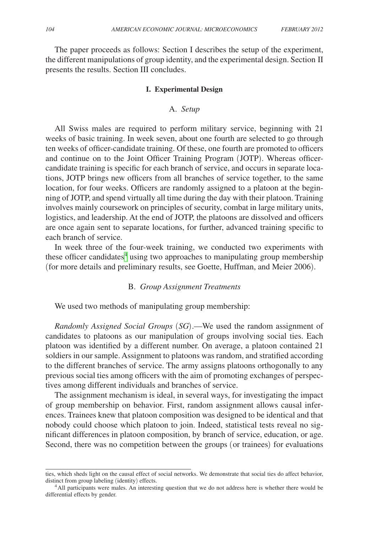<span id="page-3-0"></span>The paper proceeds as follows: Section I describes the setup of the experiment, the different manipulations of group identity, and the experimental design. Section II presents the results. Section III concludes.

### **I. Experimental Design**

## A. *Setup*

All Swiss males are required to perform military service, beginning with 21 weeks of basic training. In week seven, about one fourth are selected to go through ten weeks of officer-candidate training. Of these, one fourth are promoted to officers and continue on to the Joint Officer Training Program (JOTP). Whereas officercandidate training is specific for each branch of service, and occurs in separate locations, JOTP brings new officers from all branches of service together, to the same location, for four weeks. Officers are randomly assigned to a platoon at the beginning of JOTP, and spend virtually all time during the day with their platoon. Training involves mainly coursework on principles of security, combat in large military units, logistics, and leadership. At the end of JOTP, the platoons are dissolved and officers are once again sent to separate locations, for further, advanced training specific to each branch of service.

In week three of the four-week training, we conducted two experiments with these officer candidates<sup>[4](#page-3-1)</sup> using two approaches to manipulating group membership (for more details and preliminary results, see Goette, Huffman, and Meier 2006).

# B. *Group Assignment Treatments*

We used two methods of manipulating group membership:

*Randomly Assigned Social Groups* (*SG*).—We used the random assignment of candidates to platoons as our manipulation of groups involving social ties. Each platoon was identified by a different number. On average, a platoon contained 21 soldiers in our sample. Assignment to platoons was random, and stratified according to the different branches of service. The army assigns platoons orthogonally to any previous social ties among officers with the aim of promoting exchanges of perspectives among different individuals and branches of service.

The assignment mechanism is ideal, in several ways, for investigating the impact of group membership on behavior. First, random assignment allows causal inferences. Trainees knew that platoon composition was designed to be identical and that nobody could choose which platoon to join. Indeed, statistical tests reveal no significant differences in platoon composition, by branch of service, education, or age. Second, there was no competition between the groups (or trainees) for evaluations

ties, which sheds light on the causal effect of social networks. We demonstrate that social ties do affect behavior, distinct from group labeling (identity) effects.<br><sup>4</sup>All participants were males. An interesting question that we do not address here is whether there would be

<span id="page-3-1"></span>differential effects by gender.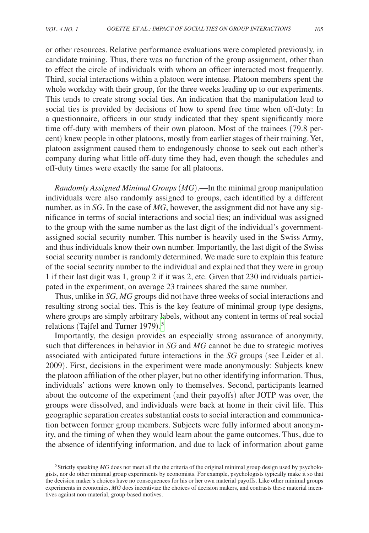or other resources. Relative performance evaluations were completed previously, in candidate training. Thus, there was no function of the group assignment, other than to effect the circle of individuals with whom an officer interacted most frequently. Third, social interactions within a platoon were intense. Platoon members spent the whole workday with their group, for the three weeks leading up to our experiments. This tends to create strong social ties. An indication that the manipulation lead to social ties is provided by decisions of how to spend free time when off-duty: In a questionnaire, officers in our study indicated that they spent significantly more time off-duty with members of their own platoon. Most of the trainees (79.8 percent) knew people in other platoons, mostly from earlier stages of their training. Yet, platoon assignment caused them to endogenously choose to seek out each other's company during what little off-duty time they had, even though the schedules and off-duty times were exactly the same for all platoons.

*Randomly Assigned Minimal Groups* (*MG*).—In the minimal group manipulation individuals were also randomly assigned to groups, each identified by a different number, as in *SG*. In the case of *MG*, however, the assignment did not have any significance in terms of social interactions and social ties; an individual was assigned to the group with the same number as the last digit of the individual's governmentassigned social security number. This number is heavily used in the Swiss Army, and thus individuals know their own number. Importantly, the last digit of the Swiss social security number is randomly determined. We made sure to explain this feature of the social security number to the individual and explained that they were in group 1 if their last digit was 1, group 2 if it was 2, etc. Given that 230 individuals participated in the experiment, on average 23 trainees shared the same number.

Thus, unlike in *SG*, *MG* groups did not have three weeks of social interactions and resulting strong social ties. This is the key feature of minimal group type designs, where groups are simply arbitrary labels, without any content in terms of real social relations (Tajfel and Turner 1979). [5](#page-4-0)

Importantly, the design provides an especially strong assurance of anonymity, such that differences in behavior in *SG* and *MG* cannot be due to strategic motives associated with anticipated future interactions in the *SG* groups (see Leider et al. 2009). First, decisions in the experiment were made anonymously: Subjects knew the platoon affiliation of the other player, but no other identifying information. Thus, individuals' actions were known only to themselves. Second, participants learned about the outcome of the experiment (and their payoffs) after JOTP was over, the groups were dissolved, and individuals were back at home in their civil life. This geographic separation creates substantial costs to social interaction and communication between former group members. Subjects were fully informed about anonymity, and the timing of when they would learn about the game outcomes. Thus, due to the absence of identifying information, and due to lack of information about game

<span id="page-4-0"></span><sup>&</sup>lt;sup>5</sup> Strictly speaking *MG* does not meet all the the criteria of the original minimal group design used by psychologists, nor do other minimal group experiments by economists. For example, psychologists typically make it so that the decision maker's choices have no consequences for his or her own material payoffs. Like other minimal groups experiments in economics, *MG* does incentivize the choices of decision makers, and contrasts these material incentives against non-material, group-based motives.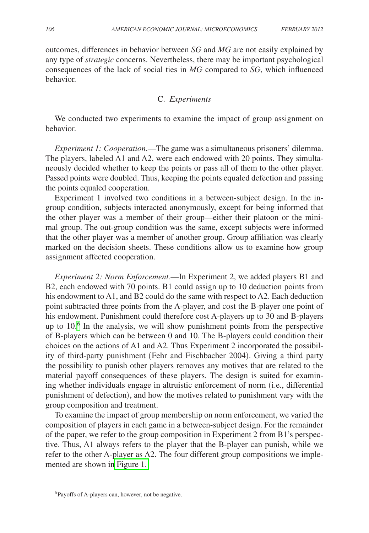<span id="page-5-0"></span>outcomes, differences in behavior between *SG* and *MG* are not easily explained by any type of *strategic* concerns. Nevertheless, there may be important psychological consequences of the lack of social ties in *MG* compared to *SG*, which influenced behavior.

## C. *Experiments*

We conducted two experiments to examine the impact of group assignment on behavior.

*Experiment 1: Cooperation*.—The game was a simultaneous prisoners' dilemma. The players, labeled A1 and A2, were each endowed with 20 points. They simultaneously decided whether to keep the points or pass all of them to the other player. Passed points were doubled. Thus, keeping the points equaled defection and passing the points equaled cooperation.

Experiment 1 involved two conditions in a between-subject design. In the ingroup condition, subjects interacted anonymously, except for being informed that the other player was a member of their group—either their platoon or the minimal group. The out-group condition was the same, except subjects were informed that the other player was a member of another group. Group affiliation was clearly marked on the decision sheets. These conditions allow us to examine how group assignment affected cooperation.

*Experiment 2: Norm Enforcement.*—In Experiment 2, we added players B1 and B2, each endowed with 70 points. B1 could assign up to 10 deduction points from his endowment to A1, and B2 could do the same with respect to A2. Each deduction point subtracted three points from the A-player, and cost the B-player one point of his endowment. Punishment could therefore cost A-players up to 30 and B-players up to 10.[6](#page-5-1) In the analysis, we will show punishment points from the perspective of B-players which can be between 0 and 10. The B-players could condition their choices on the actions of A1 and A2. Thus Experiment 2 incorporated the possibility of third-party punishment (Fehr and Fischbacher 2004). Giving a third party the possibility to punish other players removes any motives that are related to the material payoff consequences of these players. The design is suited for examining whether individuals engage in altruistic enforcement of norm (i.e., differential punishment of defection), and how the motives related to punishment vary with the group composition and treatment.

<span id="page-5-1"></span>To examine the impact of group membership on norm enforcement, we varied the composition of players in each game in a between-subject design. For the remainder of the paper, we refer to the group composition in Experiment 2 from B1's perspective. Thus, A1 always refers to the player that the B-player can punish, while we refer to the other A-player as A2. The four different group compositions we implemented are shown i[n Figure 1.](#page-6-0)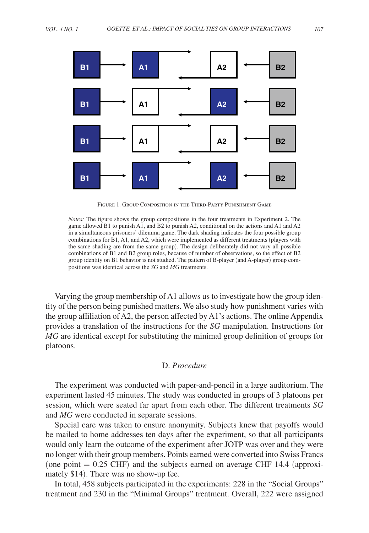

<span id="page-6-0"></span>

Figure 1. Group Composition in the Third-Party Punishment Game

*Notes:* The figure shows the group compositions in the four treatments in Experiment 2. The game allowed B1 to punish A1, and B2 to punish A2, conditional on the actions and A1 and A2 in a simultaneous prisoners' dilemma game. The dark shading indicates the four possible group combinations for B1, A1, and A2, which were implemented as different treatments (players with the same shading are from the same group). The design deliberately did not vary all possible combinations of B1 and B2 group roles, because of number of observations, so the effect of B2 group identity on B1 behavior is not studied. The pattern of B-player (and A-player) group compositions was identical across the *SG* and *MG* treatments.

Varying the group membership of A1 allows us to investigate how the group identity of the person being punished matters. We also study how punishment varies with the group affiliation of A2, the person affected by A1's actions. The online Appendix provides a translation of the instructions for the *SG* manipulation. Instructions for *MG* are identical except for substituting the minimal group definition of groups for platoons.

## D. *Procedure*

The experiment was conducted with paper-and-pencil in a large auditorium. The experiment lasted 45 minutes. The study was conducted in groups of 3 platoons per session, which were seated far apart from each other. The different treatments *SG* and *MG* were conducted in separate sessions.

Special care was taken to ensure anonymity. Subjects knew that payoffs would be mailed to home addresses ten days after the experiment, so that all participants would only learn the outcome of the experiment after JOTP was over and they were no longer with their group members. Points earned were converted into Swiss Francs (one point  $= 0.25$  CHF) and the subjects earned on average CHF 14.4 (approximately \$14). There was no show-up fee.

In total, 458 subjects participated in the experiments: 228 in the "Social Groups" treatment and 230 in the "Minimal Groups" treatment. Overall, 222 were assigned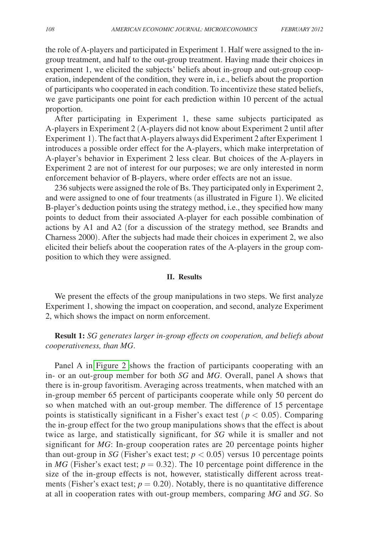<span id="page-7-0"></span>the role of A-players and participated in Experiment 1. Half were assigned to the ingroup treatment, and half to the out-group treatment. Having made their choices in experiment 1, we elicited the subjects' beliefs about in-group and out-group cooperation, independent of the condition, they were in, i.e., beliefs about the proportion of participants who cooperated in each condition. To incentivize these stated beliefs, we gave participants one point for each prediction within 10 percent of the actual proportion.

After participating in Experiment 1, these same subjects participated as A-players in Experiment 2 (A-players did not know about Experiment 2 until after Experiment 1). The fact that A-players always did Experiment 2 after Experiment 1 introduces a possible order effect for the A-players, which make interpretation of A-player's behavior in Experiment 2 less clear. But choices of the A-players in Experiment 2 are not of interest for our purposes; we are only interested in norm enforcement behavior of B-players, where order effects are not an issue.

236 subjects were assigned the role of Bs. They participated only in Experiment 2, and were assigned to one of four treatments (as illustrated in Figure 1). We elicited B-player's deduction points using the strategy method, i.e., they specified how many points to deduct from their associated A-player for each possible combination of actions by A1 and A2 (for a discussion of the strategy method, see Brandts and Charness 2000). After the subjects had made their choices in experiment 2, we also elicited their beliefs about the cooperation rates of the A-players in the group composition to which they were assigned.

#### **II. Results**

We present the effects of the group manipulations in two steps. We first analyze Experiment 1, showing the impact on cooperation, and second, analyze Experiment 2, which shows the impact on norm enforcement.

**Result 1:** *SG generates larger in-group effects on cooperation, and beliefs about cooperativeness, than MG*.

Panel A in [Figure 2](#page-8-0) shows the fraction of participants cooperating with an in- or an out-group member for both *SG* and *MG*. Overall, panel A shows that there is in-group favoritism. Averaging across treatments, when matched with an in-group member 65 percent of participants cooperate while only 50 percent do so when matched with an out-group member. The difference of 15 percentage points is statistically significant in a Fisher's exact test ( $p < 0.05$ ). Comparing the in-group effect for the two group manipulations shows that the effect is about twice as large, and statistically significant, for *SG* while it is smaller and not significant for *MG*: In-group cooperation rates are 20 percentage points higher than out-group in *SG* (Fisher's exact test;  $p < 0.05$ ) versus 10 percentage points in *MG* (Fisher's exact test;  $p = 0.32$ ). The 10 percentage point difference in the size of the in-group effects is not, however, statistically different across treatments (Fisher's exact test;  $p = 0.20$ ). Notably, there is no quantitative difference at all in cooperation rates with out-group members, comparing *MG* and *SG*. So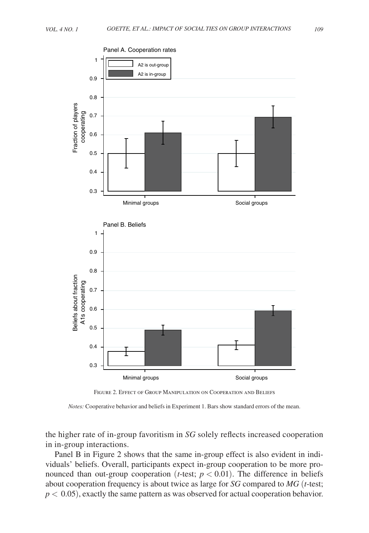<span id="page-8-0"></span>

Figure 2. Effect of Group Manipulation on Cooperation and Beliefs

the higher rate of in-group favoritism in *SG* solely reflects increased cooperation in in-group interactions.

Panel B in Figure 2 shows that the same in-group effect is also evident in individuals' beliefs. Overall, participants expect in-group cooperation to be more pronounced than out-group cooperation (*t*-test;  $p < 0.01$ ). The difference in beliefs about cooperation frequency is about twice as large for *SG* compared to *MG* (*t*-test;  $p < 0.05$ ), exactly the same pattern as was observed for actual cooperation behavior.

*Notes:* Cooperative behavior and beliefs in Experiment 1. Bars show standard errors of the mean.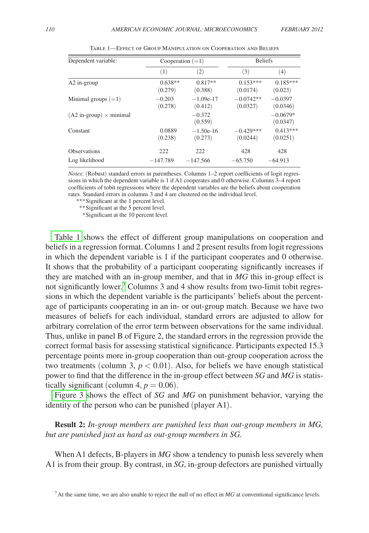| Dependent variable:              | Cooperation $(=1)$ |                     | <b>Beliefs</b> |                        |  |
|----------------------------------|--------------------|---------------------|----------------|------------------------|--|
|                                  | (1)                | (2)                 | (3)            | (4)                    |  |
| A2 in-group                      | $0.638**$          | $0.817**$           | $0.153***$     | $0.185***$             |  |
|                                  | (0.279)            | (0.388)             | (0.0174)       | (0.023)                |  |
| Minimal groups $(=1)$            | $-0.203$           | $-1.09e-17$         | $-0.0742**$    | $-0.0397$              |  |
|                                  | (0.278)            | (0.412)             | (0.0327)       | (0.0346)               |  |
| $(A2$ in-group) $\times$ minimal |                    | $-0.372$<br>(0.559) |                | $-0.0679*$<br>(0.0347) |  |
| Constant                         | 0.0889             | $-1.50e-16$         | $-0.429***$    | $0.413***$             |  |
|                                  | (0.238)            | (0.273)             | (0.0244)       | (0.0251)               |  |
| <b>Observations</b>              | 222                | 222                 | 428            | 428                    |  |
| Log likelihood                   | $-147.789$         | $-147.566$          | $-65.750$      | $-64.913$              |  |

Table 1—Effect of Group Manipulation on Cooperation and Beliefs

*Notes*: (Robust) standard errors in parentheses. Columns 1–2 report coefficients of logit regressions in which the dependent variable is 1 if A1 cooperates and 0 otherwise. Columns 3–4 report coefficients of tobit regressions where the dependent variables are the beliefs about cooperation rates. Standard errors in columns 3 and 4 are clustered on the individual level.

*\*\*\**Significant at the 1 percent level.

*\*\**Significant at the 5 percent level.

 *\**Significant at the 10 percent level.

Table 1 shows the effect of different group manipulations on cooperation and beliefs in a regression format. Columns 1 and 2 present results from logit regressions in which the dependent variable is 1 if the participant cooperates and 0 otherwise. It shows that the probability of a participant cooperating significantly increases if they are matched with an in-group member, and that in *MG* this in-group effect is not significantly lower[.7](#page-9-0) Columns 3 and 4 show results from two-limit tobit regressions in which the dependent variable is the participants' beliefs about the percentage of participants cooperating in an in- or out-group match. Because we have two measures of beliefs for each individual, standard errors are adjusted to allow for arbitrary correlation of the error term between observations for the same individual. Thus, unlike in panel B of Figure 2, the standard errors in the regression provide the correct formal basis for assessing statistical significance. Participants expected 15.3 percentage points more in-group cooperation than out-group cooperation across the two treatments (column 3,  $p < 0.01$ ). Also, for beliefs we have enough statistical power to find that the difference in the in-group effect between *SG* and *MG* is statistically significant (column 4,  $p = 0.06$ ).

[Figure 3 s](#page-10-0)hows the effect of *SG* and *MG* on punishment behavior, varying the identity of the person who can be punished (player A1).

**Result 2:** *In-group members are punished less than out-group members in MG, but are punished just as hard as out-group members in SG.*

When A1 defects, B-players in *MG* show a tendency to punish less severely when A1 is from their group. By contrast, in *SG*, in-group defectors are punished virtually

<span id="page-9-0"></span> $^7$  At the same time, we are also unable to reject the null of no effect in  $MG$  at conventional significance levels.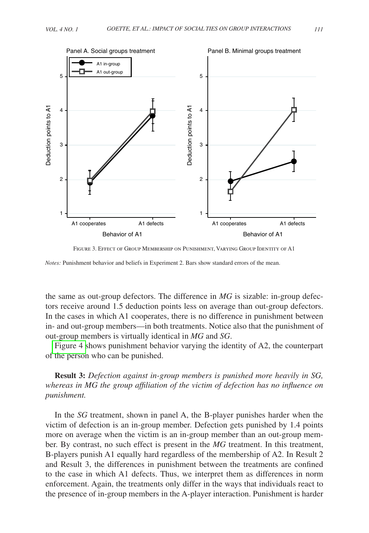<span id="page-10-0"></span>

Figure 3. Effect of Group Membership on Punishment, Varying Group Identity of A1

the same as out-group defectors. The difference in *MG* is sizable: in-group defectors receive around 1.5 deduction points less on average than out-group defectors. In the cases in which A1 cooperates, there is no difference in punishment between in- and out-group members—in both treatments. Notice also that the punishment of out-group members is virtually identical in *MG* and *SG*.

[Figure 4 s](#page-11-0)hows punishment behavior varying the identity of A2, the counterpart of the person who can be punished.

**Result 3:** *Defection against in-group members is punished more heavily in SG, whereas in MG the group affiliation of the victim of defection has no influence on punishment.*

In the *SG* treatment, shown in panel A, the B-player punishes harder when the victim of defection is an in-group member. Defection gets punished by 1.4 points more on average when the victim is an in-group member than an out-group member. By contrast, no such effect is present in the *MG* treatment. In this treatment, B-players punish A1 equally hard regardless of the membership of A2. In Result 2 and Result 3, the differences in punishment between the treatments are confined to the case in which A1 defects. Thus, we interpret them as differences in norm enforcement. Again, the treatments only differ in the ways that individuals react to the presence of in-group members in the A-player interaction. Punishment is harder

*Notes:* Punishment behavior and beliefs in Experiment 2. Bars show standard errors of the mean.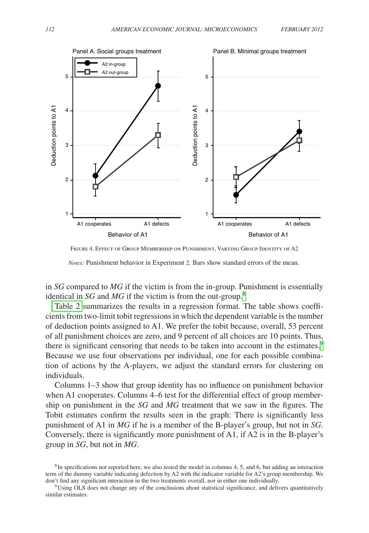<span id="page-11-0"></span>

FIGURE 4. EFFECT OF GROUP MEMBERSHIP ON PUNISHMENT, VARYING GROUP IDENTITY OF A2

*Notes:* Punishment behavior in Experiment 2. Bars show standard errors of the mean.

in *SG* compared to *MG* if the victim is from the in-group. Punishment is essentially identical in *SG* and *MG* if the victim is from the out-group.[8](#page-11-1)

[Table 2](#page-12-0) summarizes the results in a regression format. The table shows coefficients from two-limit tobit regressions in which the dependent variable is the number of deduction points assigned to A1. We prefer the tobit because, overall, 53 percent of all punishment choices are zero, and 9 percent of all choices are 10 points. Thus, there is significant censoring that needs to be taken into account in the estimates.<sup>[9](#page-11-2)</sup> Because we use four observations per individual, one for each possible combination of actions by the A-players, we adjust the standard errors for clustering on individuals.

Columns 1–3 show that group identity has no influence on punishment behavior when A1 cooperates. Columns 4–6 test for the differential effect of group membership on punishment in the *SG* and *MG* treatment that we saw in the figures. The Tobit estimates confirm the results seen in the graph: There is significantly less punishment of A1 in *MG* if he is a member of the B-player's group, but not in *SG*. Conversely, there is significantly more punishment of A1, if A2 is in the B-player's group in *SG*, but not in *MG*.

<span id="page-11-1"></span> $8$  In specifications not reported here, we also tested the model in columns 4, 5, and 6, but adding an interaction term of the dummy variable indicating defection by A2 with the indicator variable for A2's group membership. We don't find any significant interaction in the two treatments overall, nor in either one individually.<br><sup>9</sup>Using OLS does not change any of the conclusions about statistical significance, and delivers quantitatively

<span id="page-11-2"></span>similar estimates.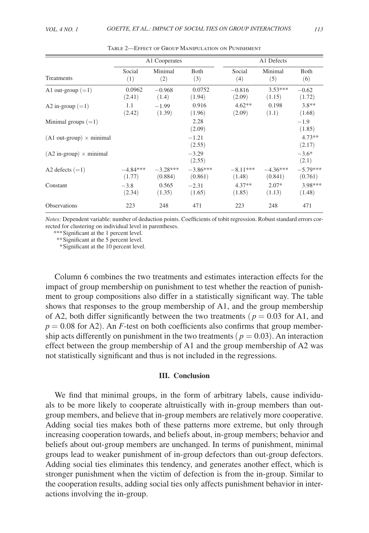<span id="page-12-0"></span>

| Treatments                       | A1 Cooperates        |                       |                       | A1 Defects           |                       |                       |
|----------------------------------|----------------------|-----------------------|-----------------------|----------------------|-----------------------|-----------------------|
|                                  | Social<br>(1)        | Minimal<br>(2)        | <b>B</b> oth<br>(3)   | Social<br>(4)        | Minimal<br>(5)        | Both<br>(6)           |
| A1 out-group $(=1)$              | 0.0962<br>(2.41)     | $-0.968$<br>(1.4)     | 0.0752<br>(1.94)      | $-0.816$<br>(2.09)   | $3.53***$<br>(1.15)   | $-0.62$<br>(1.72)     |
| A2 in-group $(=1)$               | 1.1<br>(2.42)        | $-1.99$<br>(1.39)     | 0.916<br>(1.96)       | $4.62**$<br>(2.09)   | 0.198<br>(1.1)        | $3.8**$<br>(1.68)     |
| Minimal groups $(=1)$            |                      |                       | 2.28<br>(2.09)        |                      |                       | $-1.9$<br>(1.85)      |
| $(A1 out-group) \times minimal$  |                      |                       | $-1.21$<br>(2.55)     |                      |                       | $4.73**$<br>(2.17)    |
| $(A2$ in-group) $\times$ minimal |                      |                       | $-3.29$<br>(2.55)     |                      |                       | $-3.6*$<br>(2.1)      |
| A2 defects $(=1)$                | $-4.84***$<br>(1.77) | $-3.28***$<br>(0.884) | $-3.86***$<br>(0.861) | $-8.11***$<br>(1.48) | $-4.36***$<br>(0.841) | $-5.79***$<br>(0.761) |
| Constant                         | $-3.8$<br>(2.34)     | 0.565<br>(1.35)       | $-2.31$<br>(1.65)     | $4.37**$<br>(1.85)   | $2.07*$<br>(1.13)     | 3.98***<br>(1.48)     |
| <b>Observations</b>              | 223                  | 248                   | 471                   | 223                  | 248                   | 471                   |

Table 2—Effect of Group Manipulation on Punishment

*Notes:* Dependent variable: number of deduction points. Coefficients of tobit regression. Robust standard errors corrected for clustering on individual level in parentheses.

*\*\*\**Significant at the 1 percent level.

*\*\**Significant at the 5 percent level.

 *\**Significant at the 10 percent level.

Column 6 combines the two treatments and estimates interaction effects for the impact of group membership on punishment to test whether the reaction of punishment to group compositions also differ in a statistically significant way. The table shows that responses to the group membership of A1, and the group membership of A2, both differ significantly between the two treatments ( $p = 0.03$  for A1, and  $p = 0.08$  for A2). An *F*-test on both coefficients also confirms that group membership acts differently on punishment in the two treatments ( $p = 0.03$ ). An interaction effect between the group membership of A1 and the group membership of A2 was not statistically significant and thus is not included in the regressions.

#### **III. Conclusion**

We find that minimal groups, in the form of arbitrary labels, cause individuals to be more likely to cooperate altruistically with in-group members than outgroup members, and believe that in-group members are relatively more cooperative. Adding social ties makes both of these patterns more extreme, but only through increasing cooperation towards, and beliefs about, in-group members; behavior and beliefs about out-group members are unchanged. In terms of punishment, minimal groups lead to weaker punishment of in-group defectors than out-group defectors. Adding social ties eliminates this tendency, and generates another effect, which is stronger punishment when the victim of defection is from the in-group. Similar to the cooperation results, adding social ties only affects punishment behavior in interactions involving the in-group.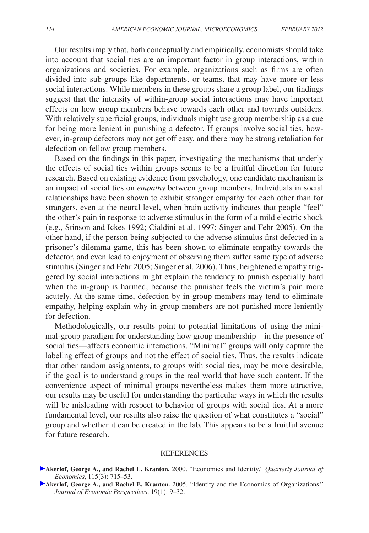<span id="page-13-0"></span>Our results imply that, both conceptually and empirically, economists should take into account that social ties are an important factor in group interactions, within organizations and societies. For example, organizations such as firms are often divided into sub-groups like departments, or teams, that may have more or less social interactions. While members in these groups share a group label, our findings suggest that the intensity of within-group social interactions may have important effects on how group members behave towards each other and towards outsiders. With relatively superficial groups, individuals might use group membership as a cue for being more lenient in punishing a defector. If groups involve social ties, however, in-group defectors may not get off easy, and there may be strong retaliation for defection on fellow group members.

Based on the findings in this paper, investigating the mechanisms that underly the effects of social ties within groups seems to be a fruitful direction for future research. Based on existing evidence from psychology, one candidate mechanism is an impact of social ties on *empathy* between group members. Individuals in social relationships have been shown to exhibit stronger empathy for each other than for strangers, even at the neural level, when brain activity indicates that people "feel" the other's pain in response to adverse stimulus in the form of a mild electric shock (e.g., Stinson and Ickes 1992; Cialdini et al. 1997; Singer and Fehr 2005). On the other hand, if the person being subjected to the adverse stimulus first defected in a prisoner's dilemma game, this has been shown to eliminate empathy towards the defector, and even lead to enjoyment of observing them suffer same type of adverse stimulus (Singer and Fehr 2005; Singer et al. 2006). Thus, heightened empathy triggered by social interactions might explain the tendency to punish especially hard when the in-group is harmed, because the punisher feels the victim's pain more acutely. At the same time, defection by in-group members may tend to eliminate empathy, helping explain why in-group members are not punished more leniently for defection.

Methodologically, our results point to potential limitations of using the minimal-group paradigm for understanding how group membership—in the presence of social ties—affects economic interactions. "Minimal" groups will only capture the labeling effect of groups and not the effect of social ties. Thus, the results indicate that other random assignments, to groups with social ties, may be more desirable, if the goal is to understand groups in the real world that have such content. If the convenience aspect of minimal groups nevertheless makes them more attractive, our results may be useful for understanding the particular ways in which the results will be misleading with respect to behavior of groups with social ties. At a more fundamental level, our results also raise the question of what constitutes a "social" group and whether it can be created in the lab. This appears to be a fruitful avenue for future research.

## **REFERENCES**

- **Akerlof, George A., and Rachel E. Kranton.** 2000. "Economics and Identity." *Quarterly Journal of Economics*, 115(3): 715–53.
- **Akerlof, George A., and Rachel E. Kranton.** 2005. "Identity and the Economics of Organizations." *Journal of Economic Perspectives*, 19(1): 9–32.